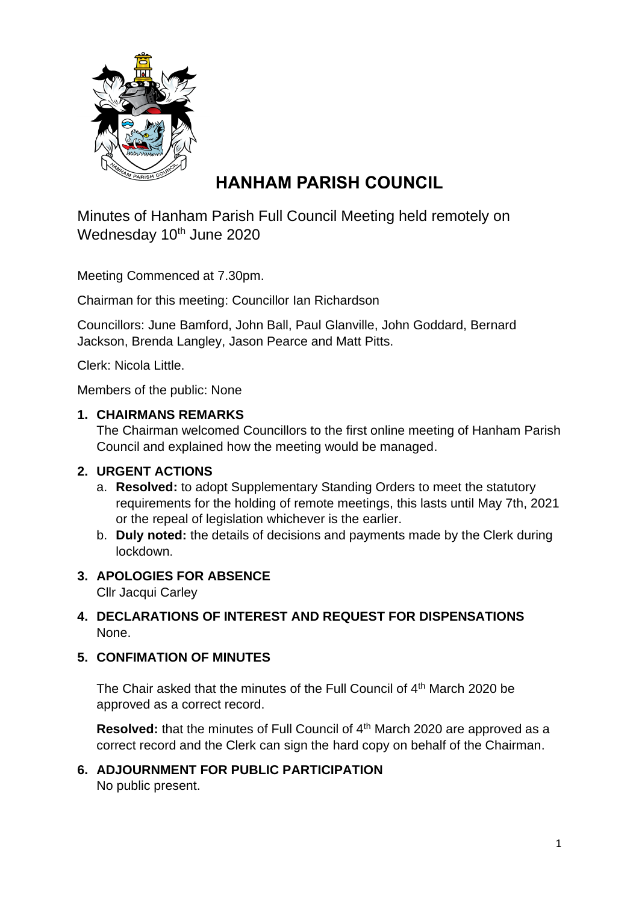

# **HANHAM PARISH COUNCIL**

Minutes of Hanham Parish Full Council Meeting held remotely on Wednesday 10<sup>th</sup> June 2020

Meeting Commenced at 7.30pm.

Chairman for this meeting: Councillor Ian Richardson

Councillors: June Bamford, John Ball, Paul Glanville, John Goddard, Bernard Jackson, Brenda Langley, Jason Pearce and Matt Pitts.

Clerk: Nicola Little.

Members of the public: None

#### **1. CHAIRMANS REMARKS**

The Chairman welcomed Councillors to the first online meeting of Hanham Parish Council and explained how the meeting would be managed.

# **2. URGENT ACTIONS**

- a. **Resolved:** to adopt Supplementary Standing Orders to meet the statutory requirements for the holding of remote meetings, this lasts until May 7th, 2021 or the repeal of legislation whichever is the earlier.
- b. **Duly noted:** the details of decisions and payments made by the Clerk during lockdown.

# **3. APOLOGIES FOR ABSENCE**

Cllr Jacqui Carley

# **4. DECLARATIONS OF INTEREST AND REQUEST FOR DISPENSATIONS** None.

# **5. CONFIMATION OF MINUTES**

The Chair asked that the minutes of the Full Council of 4<sup>th</sup> March 2020 be approved as a correct record.

**Resolved:** that the minutes of Full Council of 4<sup>th</sup> March 2020 are approved as a correct record and the Clerk can sign the hard copy on behalf of the Chairman.

**6. ADJOURNMENT FOR PUBLIC PARTICIPATION** No public present.